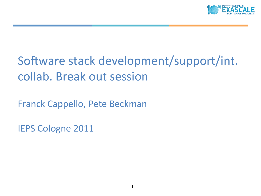

# Software stack development/support/int. collab. Break out session

Franck Cappello, Pete Beckman

**IEPS Cologne 2011**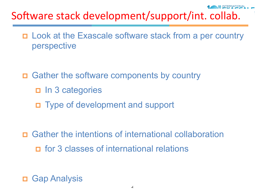# Software stack development/support/int. collab.

- p Look at the Exascale software stack from a per country perspective
- p Gather the software components by country
	- p In 3 categories
	- p Type of development and support
- p Gather the intentions of international collaboration p for 3 classes of international relations

**Gap Analysis**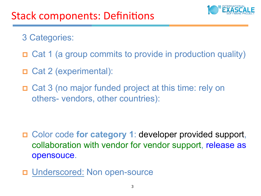## Stack components: Definitions

3 Categories:

p Cat 1 (a group commits to provide in production quality)

- p Cat 2 (experimental):
- p Cat 3 (no major funded project at this time: rely on others- vendors, other countries):

- p Color code **for category 1**: developer provided support, collaboration with vendor for vendor support, release as opensouce.
- D Underscored: Non open-source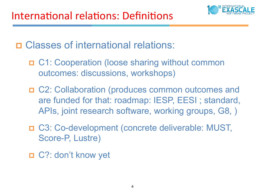

p Classes of international relations:

- p C1: Cooperation (loose sharing without common outcomes: discussions, workshops)
- p C2: Collaboration (produces common outcomes and are funded for that: roadmap: IESP, EESI ; standard, APIs, joint research software, working groups, G8, )
- p C3: Co-development (concrete deliverable: MUST, Score-P, Lustre)
- p C?: don't know yet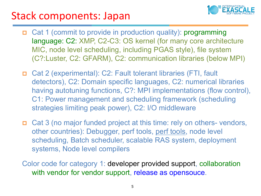#### Stack components: Japan



- p Cat 1 (commit to provide in production quality): programming language: C2: XMP, C2-C3: OS kernel (for many core architecture MIC, node level scheduling, including PGAS style), file system (C?:Luster, C2: GFARM), C2: communication libraries (below MPI)
- p Cat 2 (experimental): C2: Fault tolerant libraries (FTI, fault detectors), C2: Domain specific languages, C2: numerical libraries having autotuning functions, C?: MPI implementations (flow control), C1: Power management and scheduling framework (scheduling strategies limiting peak power), C2: I/O middleware
- p Cat 3 (no major funded project at this time: rely on others- vendors, other countries): Debugger, perf tools, perf tools, node level scheduling, Batch scheduler, scalable RAS system, deployment systems, Node level compilers
- Color code for category 1: developer provided support, collaboration with vendor for vendor support, release as opensouce.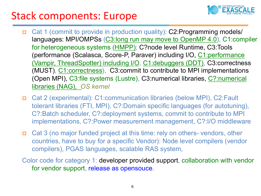## Stack components: Europe



- p Cat 1 (commit to provide in production quality): C2:Programming models/ languages: MPI/OMPSs (C3:long run may move to OpenMP 4.0), C1:compiler for heterogeneous systems (HMPP); C?node level Runtime, C3:Tools (performance (Scalasca, Score-P, Paraver) including I/O, C1:performance (Vampir, ThreadSpotter) including I/O, C1:debuggers (DDT), C3:correctness (MUST), C1:correctness), C3:commit to contribute to MPI implementations (Open MPI), C3:file systems (Lustre), C3:numerical libraries, C?:numerical libraries (NAG), *OS kernel*
- p Cat 2 (experimental): C1:communication libraries (below MPI), C2:Fault tolerant libraries (FTI, MPI), C?:Domain specific languages (for autotuning), C?:Batch scheduler, C?:deployment systems, commit to contribute to MPI implementations, C?:Power measurement management, C?:I/O middleware
- p Cat 3 (no major funded project at this time: rely on others- vendors, other countries, have to buy for a specific Vendor): Node level compilers (vendor compilers), PGAS languages, scalable RAS system,
- Color code for category 1: developer provided support, collaboration with vendor for vendor support, release as opensouce.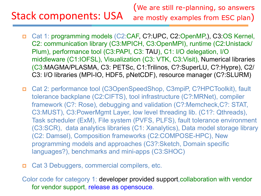# Stack components: USA

(We are still re-planning, so answers are mostly examples from ESC plan)

- p Cat 1: programming models (C2:CAF, C?:UPC, C2:OpenMP,), C3:OS Kernel, C2: communication library (C3:MPICH, C3:OpenMPI), runtime (C2:Unistack/ Plum), performance tool (C3:PAPI, C3: TAU), C1: I/O delegation, I/O middleware (C1:IOFSL), Visualization (C3: VTK, C3:Visit), Numerical libraries (C3:MAGMA/PLASMA, C3: PETSc, C1:Trilinos, C?:SuperLU, C?:Hypre), C2/ C3: I/O libraries (MPI-IO, HDF5, pNetCDF), resource manager (C?:SLURM)
- p Cat 2: performance tool (C3OpenSpeedShop, C3mpiP, C?HPCToolkit), fault tolerance backplane (C2:CIFTS), tool infrastructure (C?:MRNet), compiler framework (C?: Rose), debugging and validation (C?:Memcheck,C?: STAT, C3:MUST), C3:PowerMgmt Layer, low level threading lib. (C1?: Qthreads), Task scheduler (ExM), File system (PVFS, PLFS), fault tolerance environment (C3:SCR), data analytics libraries (C1: Xanalytics), Data model storage library (C2: Damsel), Composition frameworks (C2:COMPOSE-HPC), New programming models and approaches (C3?:Sketch, Domain specific languages?), benchmarks and mini-apps (C3:SHOC)
- p Cat 3 Debuggers, commercial compilers, etc.

for vendor support, release as opensouce. Color code for category 1: developer provided support,collaboration with vendor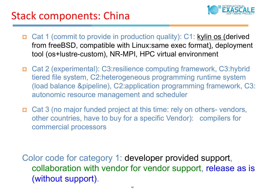## Stack components: China



- p Cat 1 (commit to provide in production quality): C1: kylin os (derived from freeBSD, compatible with Linux:same exec format), deployment tool (os+lustre-custom), NR-MPI, HPC virtual environment
- p Cat 2 (experimental): C3:resilience computing framework, C3:hybrid tiered file system, C2:heterogeneous programming runtime system (load balance &pipeline), C2:application programming framework, C3: autonomic resource management and scheduler
- p Cat 3 (no major funded project at this time: rely on others- vendors, other countries, have to buy for a specific Vendor): compilers for commercial processors

Color code for category 1: developer provided support, collaboration with vendor for vendor support, release as is (without support).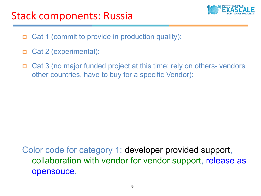

- p Cat 1 (commit to provide in production quality):
- p Cat 2 (experimental):
- p Cat 3 (no major funded project at this time: rely on others- vendors, other countries, have to buy for a specific Vendor):

Color code for category 1: developer provided support, collaboration with vendor for vendor support, release as opensouce.